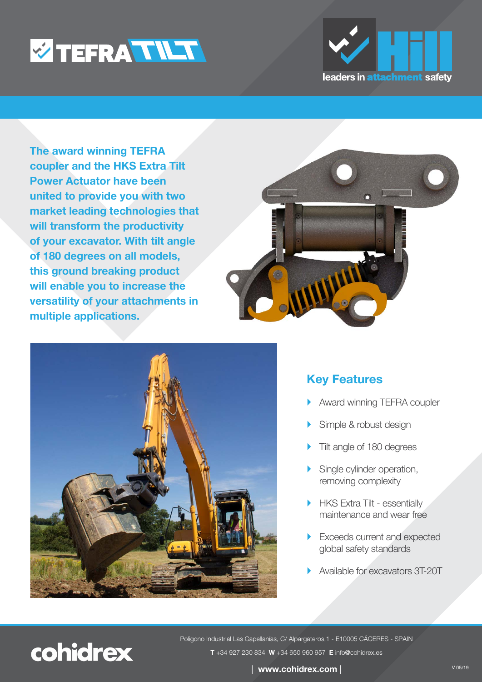



**The award winning TEFRA coupler and the HKS Extra Tilt Power Actuator have been united to provide you with two market leading technologies that will transform the productivity of your excavator. With tilt angle of 180 degrees on all models, this ground breaking product will enable you to increase the versatility of your attachments in multiple applications.** 





# **Key Features**

- Award winning TEFRA coupler
- Simple & robust design
- Tilt angle of 180 degrees
- Single cylinder operation, removing complexity
- HKS Extra Tilt essentially maintenance and wear free
- Exceeds current and expected global safety standards
- Available for excavators 3T-20T



Poligono Industrial Las Capellanías, C/ Alpargateros,1 - E10005 CÁCERES - SPAIN **T** +34 [927 230 834](Tel:+34927230834) **W** [+34 650](https://wa.me/+34650960957?text=I%20would%20be%20interested%20in%20TEFRA%20TILT%20Couple) 960 957 **E** info@cohidrex.es